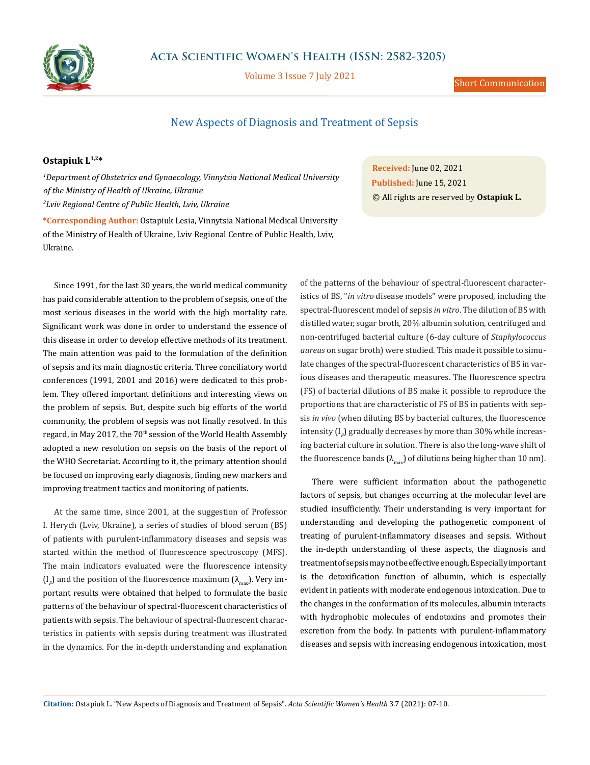

Volume 3 Issue 7 July 2021

## New Aspects of Diagnosis and Treatment of Sepsis

## **Ostapiuk L1,2\***

*1 Department of Obstetrics and Gynaecology, Vinnytsia National Medical University of the Ministry of Health of Ukraine, Ukraine 2 Lviv Regional Centre of Public Health, Lviv, Ukraine*

**\*Corresponding Author:** Ostapiuk Lesia, Vinnytsia National Medical University of the Ministry of Health of Ukraine, Lviv Regional Centre of Public Health, Lviv, Ukraine.

Since 1991, for the last 30 years, the world medical community has paid considerable attention to the problem of sepsis, one of the most serious diseases in the world with the high mortality rate. Significant work was done in order to understand the essence of this disease in order to develop effective methods of its treatment. The main attention was paid to the formulation of the definition of sepsis and its main diagnostic criteria. Three conciliatory world conferences (1991, 2001 and 2016) were dedicated to this problem. They offered important definitions and interesting views on the problem of sepsis. But, despite such big efforts of the world community, the problem of sepsis was not finally resolved. In this regard, in May 2017, the 70<sup>th</sup> session of the World Health Assembly adopted a new resolution on sepsis on the basis of the report of the WHO Secretariat. According to it, the primary attention should be focused on improving early diagnosis, finding new markers and improving treatment tactics and monitoring of patients.

At the same time, since 2001, at the suggestion of Professor I. Herych (Lviv, Ukraine), a series of studies of blood serum (BS) of patients with purulent-inflammatory diseases and sepsis was started within the method of fluorescence spectroscopy (MFS). The main indicators evaluated were the fluorescence intensity  $\left( {\rm I}_F \right)$  and the position of the fluorescence maximum  $\left( {\lambda _{\max } } \right)$ . Very important results were obtained that helped to formulate the basic patterns of the behaviour of spectral-fluorescent characteristics of patients with sepsis. The behaviour of spectral-fluorescent characteristics in patients with sepsis during treatment was illustrated in the dynamics. For the in-depth understanding and explanation

**Received:** June 02, 2021 **Published:** June 15, 2021 © All rights are reserved by **Ostapiuk L.**

of the patterns of the behaviour of spectral-fluorescent characteristics of BS, "*in vitro* disease models" were proposed, including the spectral-fluorescent model of sepsis *in vitro*. The dilution of BS with distilled water, sugar broth, 20% albumin solution, centrifuged and non-centrifuged bacterial culture (6-day culture of *Staphylococcus aureus* on sugar broth) were studied. This made it possible to simulate changes of the spectral-fluorescent characteristics of BS in various diseases and therapeutic measures. The fluorescence spectra (FS) of bacterial dilutions of BS make it possible to reproduce the proportions that are characteristic of FS of BS in patients with sepsis *in vivo* (when diluting BS by bacterial cultures, the fluorescence intensity (І *F* ) gradually decreases by more than 30% while increasing bacterial culture in solution. There is also the long-wave shift of the fluorescence bands  $(\lambda_{\text{max}})$  of dilutions being higher than 10 nm).

There were sufficient information about the pathogenetic factors of sepsis, but changes occurring at the molecular level are studied insufficiently. Their understanding is very important for understanding and developing the pathogenetic component of treating of purulent-inflammatory diseases and sepsis. Without the in-depth understanding of these aspects, the diagnosis and treatment of sepsis may not be effective enough. Especially important is the detoxification function of albumin, which is especially evident in patients with moderate endogenous intoxication. Due to the changes in the conformation of its molecules, albumin interacts with hydrophobic molecules of endotoxins and promotes their excretion from the body. In patients with purulent-inflammatory diseases and sepsis with increasing endogenous intoxication, most

**Citation:** Ostapiuk L*.* "New Aspects of Diagnosis and Treatment of Sepsis". *Acta Scientific Women's Health* 3.7 (2021): 07-10.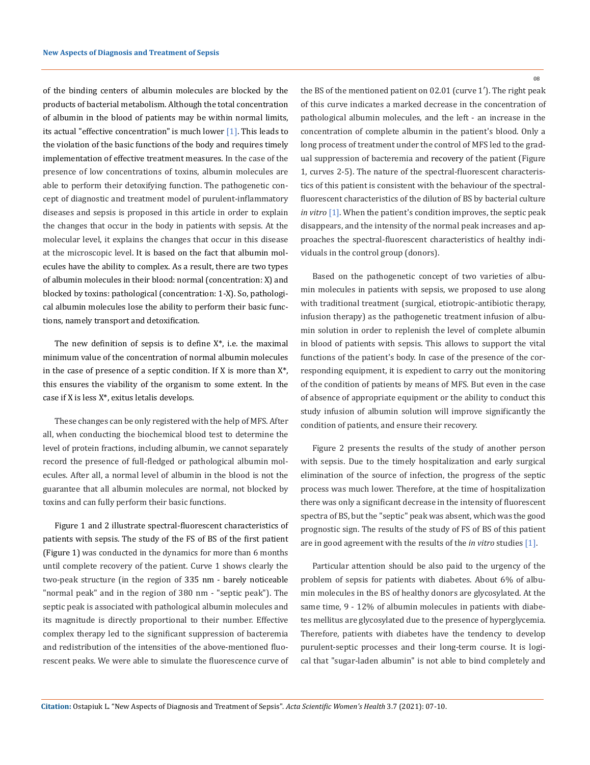of the binding centers of albumin molecules are blocked by the products of bacterial metabolism. Although the total concentration of albumin in the blood of patients may be within normal limits, its actual "effective concentration" is much lower  $[1]$ . This leads to the violation of the basic functions of the body and requires timely implementation of effective treatment measures. In the case of the presence of low concentrations of toxins, albumin molecules are able to perform their detoxifying function. The pathogenetic concept of diagnostic and treatment model of purulent-inflammatory diseases and sepsis is proposed in this article in order to explain the changes that occur in the body in patients with sepsis. At the molecular level, it explains the changes that occur in this disease at the microscopic level. It is based on the fact that albumin molecules have the ability to complex. As a result, there are two types of albumin molecules in their blood: normal (concentration: X) and blocked by toxins: pathological (concentration: 1-X). So, pathological albumin molecules lose the ability to perform their basic functions, namely transport and detoxification.

The new definition of sepsis is to define  $X^*$ , i.e. the maximal minimum value of the concentration of normal albumin molecules in the case of presence of a septic condition. If X is more than  $X^*$ , this ensures the viability of the organism to some extent. In the case if Х is less Х\*, exitus letalis develops.

These changes can be only registered with the help of MFS. After all, when conducting the biochemical blood test to determine the level of protein fractions, including albumin, we cannot separately record the presence of full-fledged or pathological albumin molecules. After all, a normal level of albumin in the blood is not the guarantee that all albumin molecules are normal, not blocked by toxins and can fully perform their basic functions.

Figure 1 and 2 illustrate spectral-fluorescent characteristics of patients with sepsis. The study of the FS of BS of the first patient (Figure 1) was conducted in the dynamics for more than 6 months until complete recovery of the patient. Curve 1 shows clearly the two-peak structure (in the region of 335 nm - barely noticeable "normal peak" and in the region of 380 nm - "septic peak"). The septic peak is associated with pathological albumin molecules and its magnitude is directly proportional to their number. Effective complex therapy led to the significant suppression of bacteremia and redistribution of the intensities of the above-mentioned fluorescent peaks. We were able to simulate the fluorescence curve of 08

the BS of the mentioned patient on 02.01 (curve 1′). The right peak of this curve indicates a marked decrease in the concentration of pathological albumin molecules, and the left - an increase in the concentration of complete albumin in the patient's blood. Only a long process of treatment under the control of MFS led to the gradual suppression of bacteremia and recovery of the patient (Figure 1, curves 2-5). The nature of the spectral-fluorescent characteristics of this patient is consistent with the behaviour of the spectralfluorescent characteristics of the dilution of BS by bacterial culture *in vitro* [1]. When the patient's condition improves, the septic peak disappears, and the intensity of the normal peak increases and approaches the spectral-fluorescent characteristics of healthy individuals in the control group (donors).

Based on the pathogenetic concept of two varieties of albumin molecules in patients with sepsis, we proposed to use along with traditional treatment (surgical, etiotropic-antibiotic therapy, infusion therapy) as the pathogenetic treatment infusion of albumin solution in order to replenish the level of complete albumin in blood of patients with sepsis. This allows to support the vital functions of the patient's body. In case of the presence of the corresponding equipment, it is expedient to carry out the monitoring of the condition of patients by means of MFS. But even in the case of absence of appropriate equipment or the ability to conduct this study infusion of albumin solution will improve significantly the condition of patients, and ensure their recovery.

Figure 2 presents the results of the study of another person with sepsis. Due to the timely hospitalization and early surgical elimination of the source of infection, the progress of the septic process was much lower. Therefore, at the time of hospitalization there was only a significant decrease in the intensity of fluorescent spectra of BS, but the "septic" peak was absent, which was the good prognostic sign. The results of the study of FS of BS of this patient are in good agreement with the results of the *in vitro* studies [1].

Particular attention should be also paid to the urgency of the problem of sepsis for patients with diabetes. About 6% of albumin molecules in the BS of healthy donors are glycosylated. At the same time, 9 - 12% of albumin molecules in patients with diabetes mellitus are glycosylated due to the presence of hyperglycemia. Therefore, patients with diabetes have the tendency to develop purulent-septic processes and their long-term course. It is logical that "sugar-laden albumin" is not able to bind completely and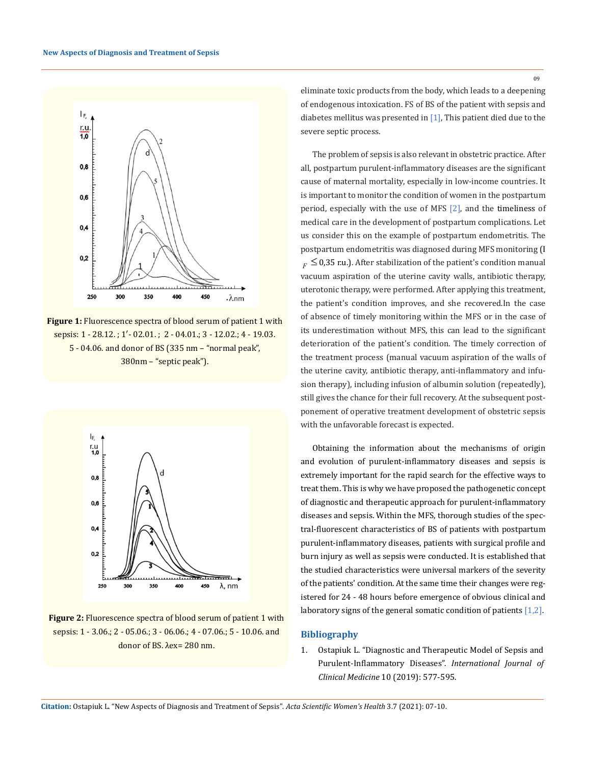

**Figure 1:** Fluorescence spectra of blood serum of patient 1 with sepsis: 1 - 28.12.; 1' - 02.01.; 2 - 04.01.; 3 - 12.02.; 4 - 19.03. 5 - 04.06. and donor of BS (335 nm – "normal peak", 380nm – "septic peak").



**Figure 2:** Fluorescence spectra of blood serum of patient 1 with sepsis: 1 - 3.06.; 2 - 05.06.; 3 - 06.06.; 4 - 07.06.; 5 - 10.06. and donor of BS. λex= 280 nm.

eliminate toxic products from the body, which leads to a deepening of endogenous intoxication. FS of BS of the patient with sepsis and diabetes mellitus was presented in  $[1]$ , This patient died due to the severe septic process.

The problem of sepsis is also relevant in obstetric practice. After all, postpartum purulent-inflammatory diseases are the significant cause of maternal mortality, especially in low-income countries. It is important to monitor the condition of women in the postpartum period, especially with the use of MFS [2], and the timeliness of medical care in the development of postpartum complications. Let us consider this on the example of postpartum endometritis. The postpartum endometritis was diagnosed during MFS monitoring (І  $F_F \leq 0.35$  r.u.). After stabilization of the patient's condition manual vacuum aspiration of the uterine cavity walls, antibiotic therapy, uterotonic therapy, were performed. After applying this treatment, the patient's condition improves, and she recovered.In the case of absence of timely monitoring within the MFS or in the case of its underestimation without MFS, this can lead to the significant deterioration of the patient's condition. The timely correction of the treatment process (manual vacuum aspiration of the walls of the uterine cavity, antibiotic therapy, anti-inflammatory and infusion therapy), including infusion of albumin solution (repeatedly), still gives the chance for their full recovery. At the subsequent postponement of operative treatment development of obstetric sepsis with the unfavorable forecast is expected.

Obtaining the information about the mechanisms of origin and evolution of purulent-inflammatory diseases and sepsis is extremely important for the rapid search for the effective ways to treat them. This is why we have proposed the pathogenetic concept of diagnostic and therapeutic approach for purulent-inflammatory diseases and sepsis. Within the MFS, thorough studies of the spectral-fluorescent characteristics of BS of patients with postpartum purulent-inflammatory diseases, patients with surgical profile and burn injury as well as sepsis were conducted. It is established that the studied characteristics were universal markers of the severity of the patients' condition. At the same time their changes were registered for 24 - 48 hours before emergence of obvious clinical and laboratory signs of the general somatic condition of patients [1,2].

## **Bibliography**

1. [Ostapiuk L. "Diagnostic and Therapeutic Model of Sepsis and](https://doi.org/10.4236/ijcm.2019.1011047)  [Purulent-Inflammatory Diseases".](https://doi.org/10.4236/ijcm.2019.1011047) *International Journal of Clinical Medicine* [10 \(2019\): 577-595.](https://doi.org/10.4236/ijcm.2019.1011047)

**Citation:** Ostapiuk L*.* "New Aspects of Diagnosis and Treatment of Sepsis". *Acta Scientific Women's Health* 3.7 (2021): 07-10.

09